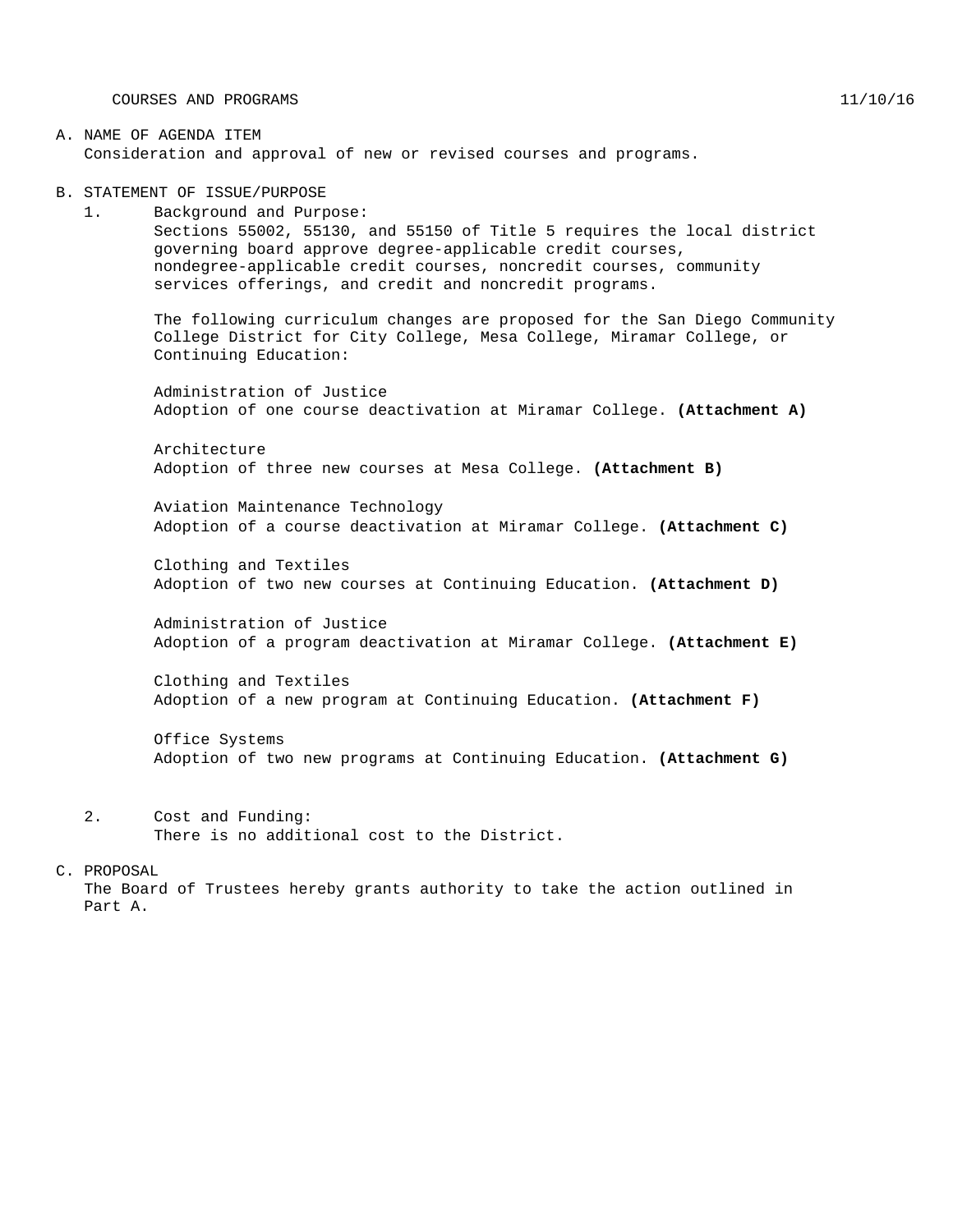COURSES AND PROGRAMS 11/10/16

#### A. NAME OF AGENDA ITEM Consideration and approval of new or revised courses and programs.

B. STATEMENT OF ISSUE/PURPOSE

1. Background and Purpose: Sections 55002, 55130, and 55150 of Title 5 requires the local district governing board approve degree-applicable credit courses, nondegree-applicable credit courses, noncredit courses, community services offerings, and credit and noncredit programs.

The following curriculum changes are proposed for the San Diego Community College District for City College, Mesa College, Miramar College, or Continuing Education:

Administration of Justice Adoption of one course deactivation at Miramar College. **(Attachment A)**

Architecture Adoption of three new courses at Mesa College. **(Attachment B)**

Aviation Maintenance Technology Adoption of a course deactivation at Miramar College. **(Attachment C)**

Clothing and Textiles Adoption of two new courses at Continuing Education. **(Attachment D)**

Administration of Justice Adoption of a program deactivation at Miramar College. **(Attachment E)**

Clothing and Textiles Adoption of a new program at Continuing Education. **(Attachment F)**

Office Systems Adoption of two new programs at Continuing Education. **(Attachment G)**

2. Cost and Funding: There is no additional cost to the District.

#### C. PROPOSAL

The Board of Trustees hereby grants authority to take the action outlined in Part A.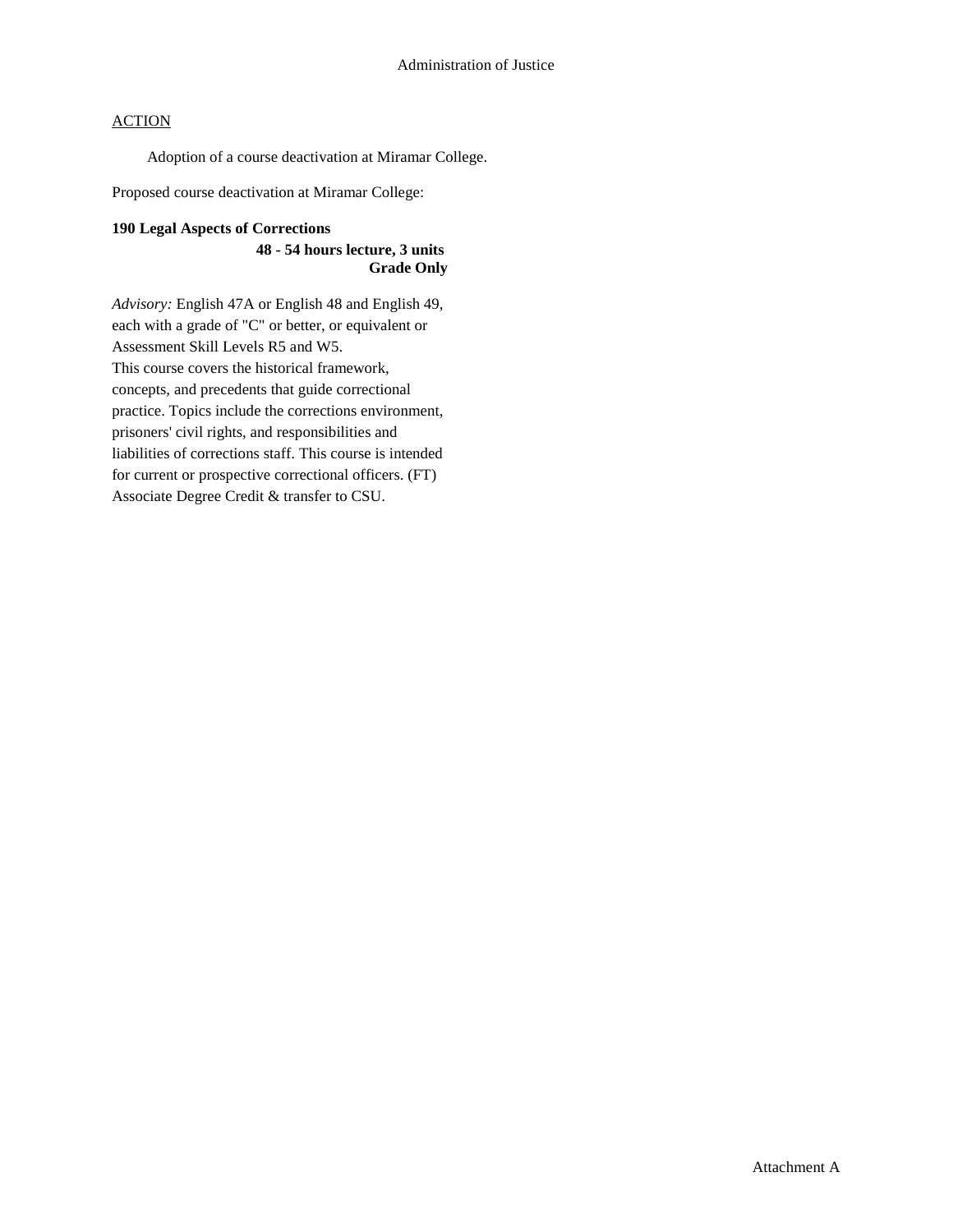Adoption of a course deactivation at Miramar College.

Proposed course deactivation at Miramar College:

### **190 Legal Aspects of Corrections**

**48 - 54 hours lecture, 3 units Grade Only**

*Advisory:* English 47A or English 48 and English 49, each with a grade of "C" or better, or equivalent or Assessment Skill Levels R5 and W5. This course covers the historical framework, concepts, and precedents that guide correctional practice. Topics include the corrections environment, prisoners' civil rights, and responsibilities and liabilities of corrections staff. This course is intended for current or prospective correctional officers. (FT) Associate Degree Credit & transfer to CSU.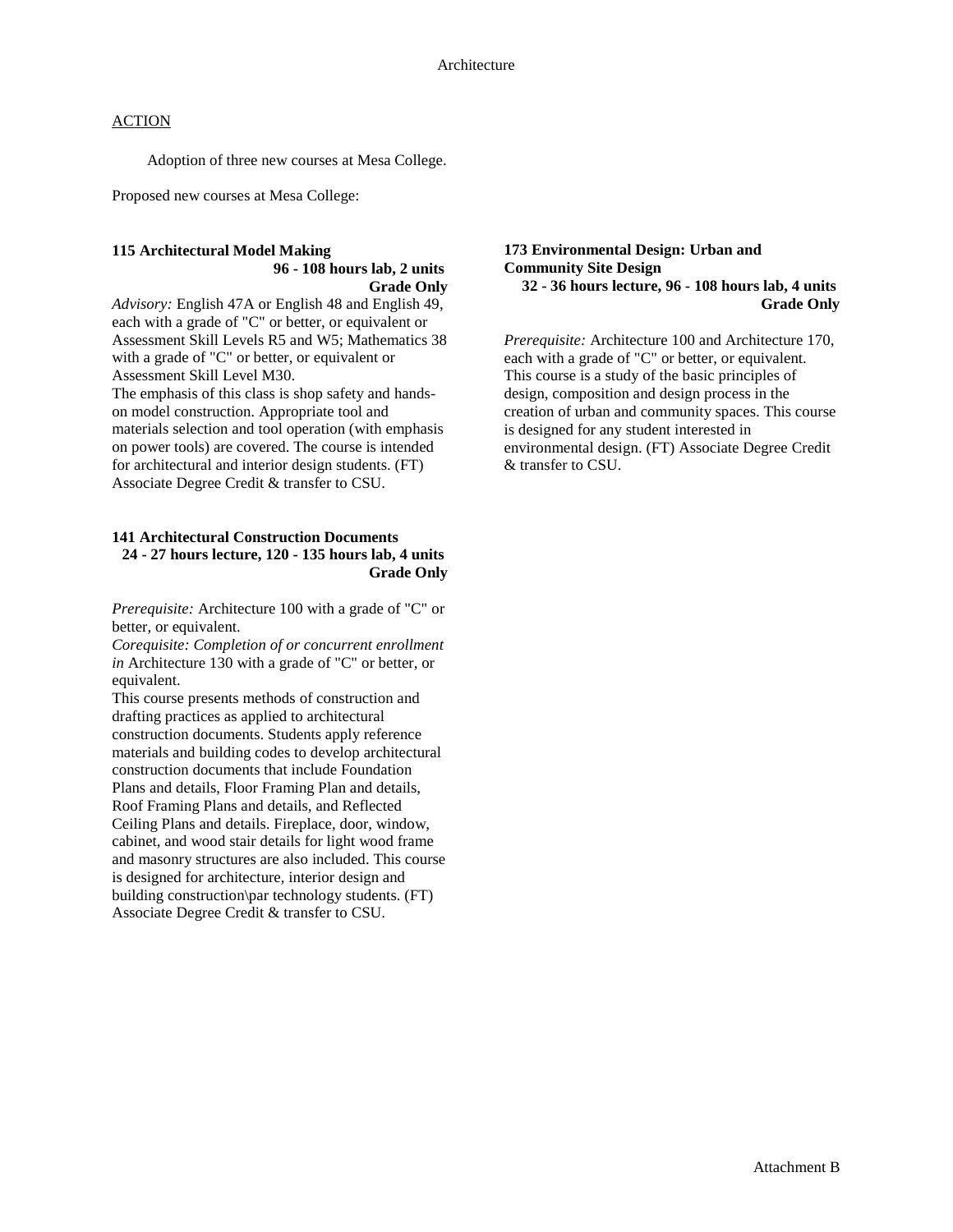Adoption of three new courses at Mesa College.

Proposed new courses at Mesa College:

#### **115 Architectural Model Making 96 - 108 hours lab, 2 units Grade Only**

*Advisory:* English 47A or English 48 and English 49, each with a grade of "C" or better, or equivalent or Assessment Skill Levels R5 and W5; Mathematics 38 with a grade of "C" or better, or equivalent or Assessment Skill Level M30.

The emphasis of this class is shop safety and handson model construction. Appropriate tool and materials selection and tool operation (with emphasis on power tools) are covered. The course is intended for architectural and interior design students. (FT) Associate Degree Credit & transfer to CSU.

#### **141 Architectural Construction Documents 24 - 27 hours lecture, 120 - 135 hours lab, 4 units Grade Only**

*Prerequisite:* Architecture 100 with a grade of "C" or better, or equivalent.

*Corequisite: Completion of or concurrent enrollment in* Architecture 130 with a grade of "C" or better, or equivalent.

This course presents methods of construction and drafting practices as applied to architectural construction documents. Students apply reference materials and building codes to develop architectural construction documents that include Foundation Plans and details, Floor Framing Plan and details, Roof Framing Plans and details, and Reflected Ceiling Plans and details. Fireplace, door, window, cabinet, and wood stair details for light wood frame and masonry structures are also included. This course is designed for architecture, interior design and building construction\par technology students. (FT) Associate Degree Credit & transfer to CSU.

#### **173 Environmental Design: Urban and Community Site Design 32 - 36 hours lecture, 96 - 108 hours lab, 4 units Grade Only**

*Prerequisite:* Architecture 100 and Architecture 170, each with a grade of "C" or better, or equivalent. This course is a study of the basic principles of design, composition and design process in the creation of urban and community spaces. This course is designed for any student interested in environmental design. (FT) Associate Degree Credit & transfer to CSU.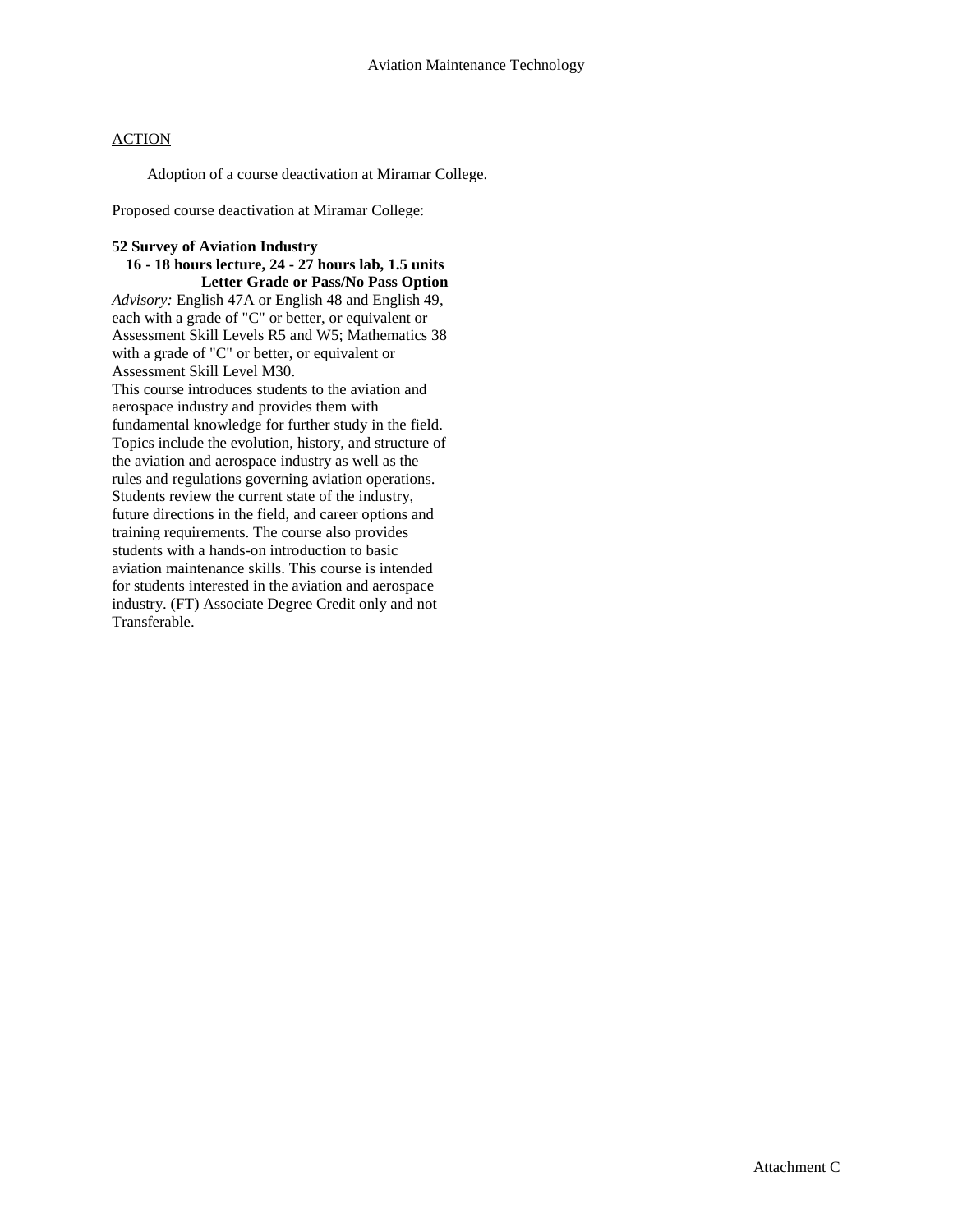Adoption of a course deactivation at Miramar College.

Proposed course deactivation at Miramar College:

#### **52 Survey of Aviation Industry**

#### **16 - 18 hours lecture, 24 - 27 hours lab, 1.5 units Letter Grade or Pass/No Pass Option**

*Advisory:* English 47A or English 48 and English 49, each with a grade of "C" or better, or equivalent or Assessment Skill Levels R5 and W5; Mathematics 38 with a grade of "C" or better, or equivalent or Assessment Skill Level M30.

This course introduces students to the aviation and aerospace industry and provides them with fundamental knowledge for further study in the field. Topics include the evolution, history, and structure of the aviation and aerospace industry as well as the rules and regulations governing aviation operations. Students review the current state of the industry, future directions in the field, and career options and training requirements. The course also provides students with a hands-on introduction to basic aviation maintenance skills. This course is intended for students interested in the aviation and aerospace industry. (FT) Associate Degree Credit only and not **Transferable**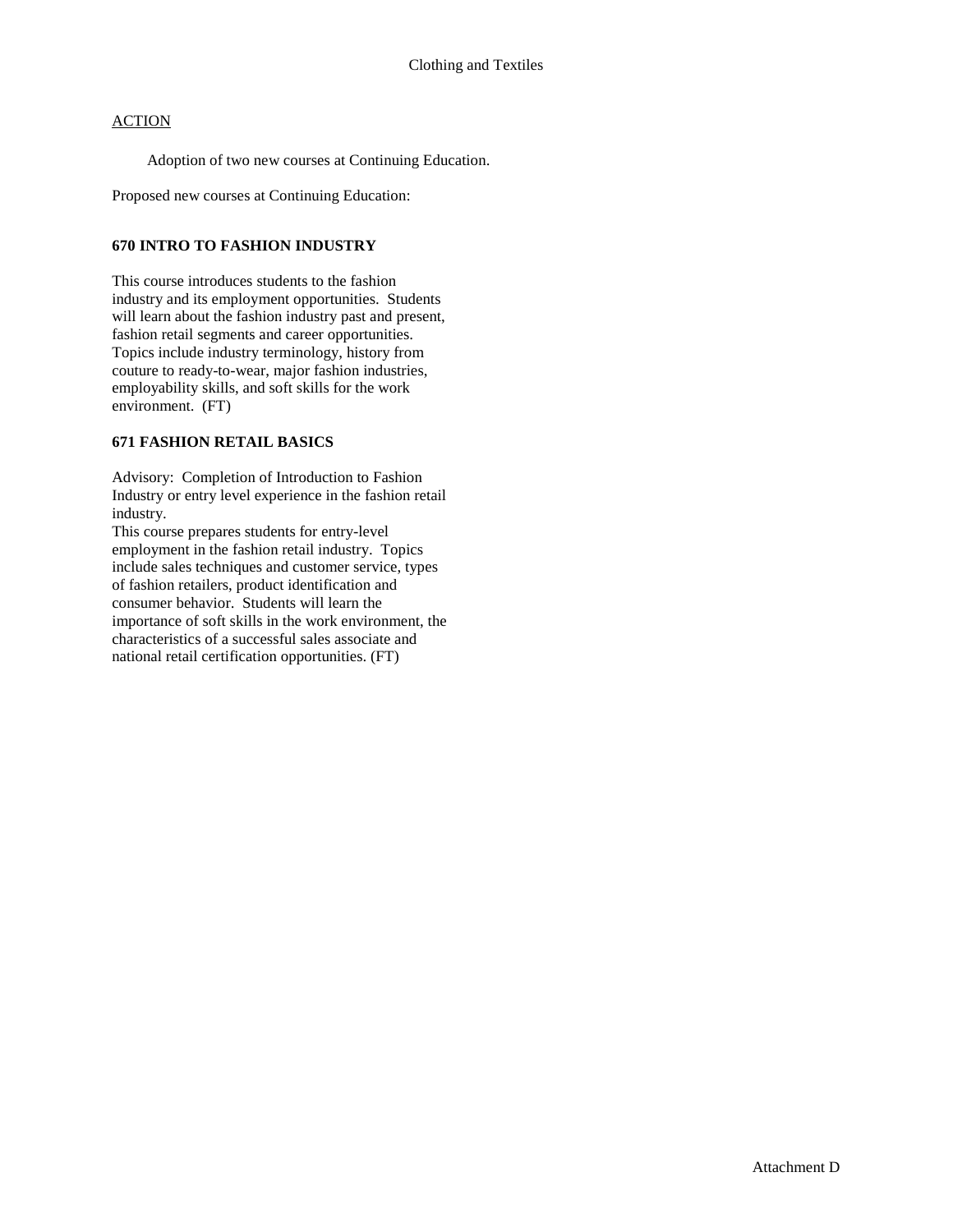Adoption of two new courses at Continuing Education.

Proposed new courses at Continuing Education:

#### **670 INTRO TO FASHION INDUSTRY**

This course introduces students to the fashion industry and its employment opportunities. Students will learn about the fashion industry past and present, fashion retail segments and career opportunities. Topics include industry terminology, history from couture to ready-to-wear, major fashion industries, employability skills, and soft skills for the work environment. (FT)

#### **671 FASHION RETAIL BASICS**

Advisory: Completion of Introduction to Fashion Industry or entry level experience in the fashion retail industry.

This course prepares students for entry-level employment in the fashion retail industry. Topics include sales techniques and customer service, types of fashion retailers, product identification and consumer behavior. Students will learn the importance of soft skills in the work environment, the characteristics of a successful sales associate and national retail certification opportunities. (FT)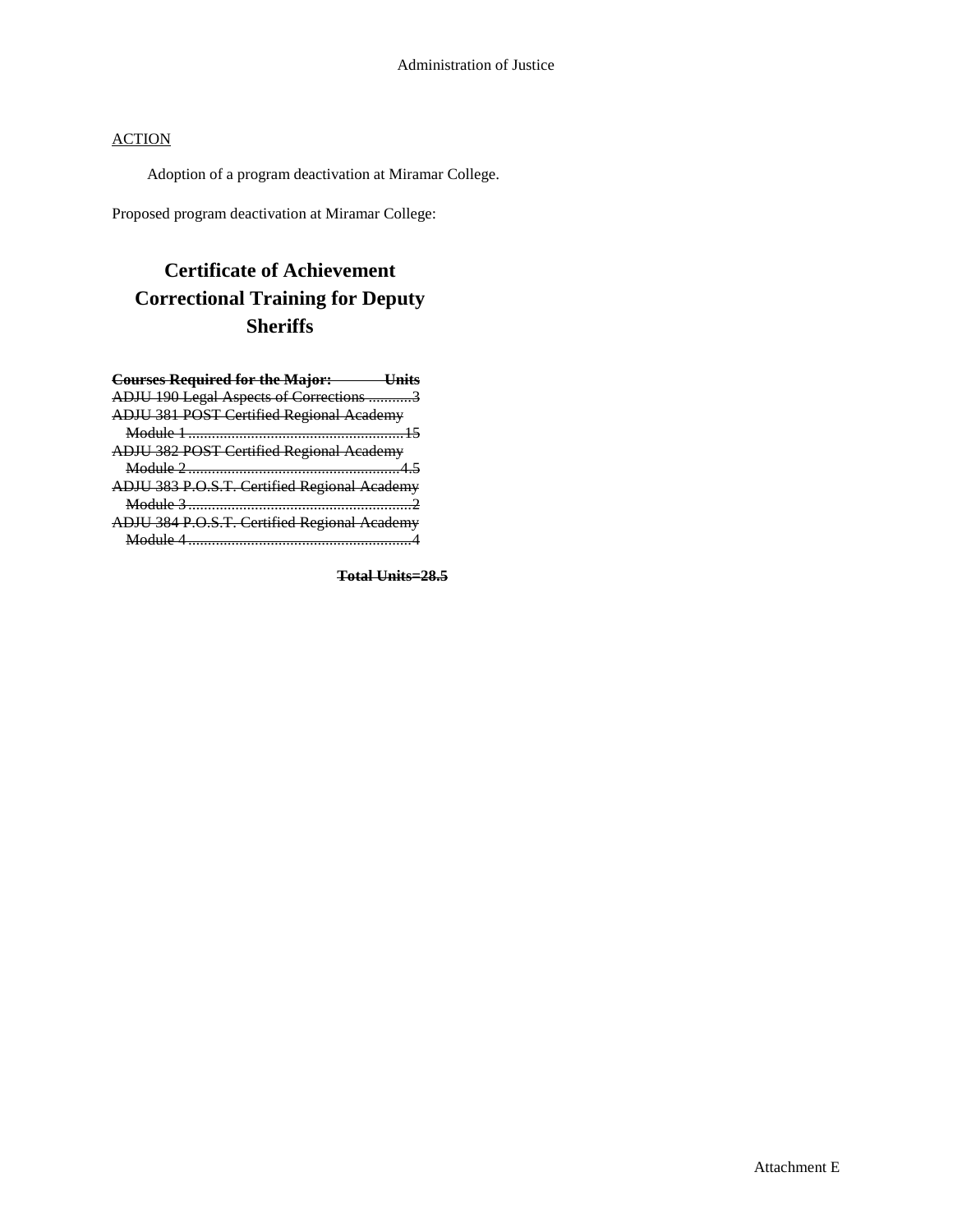Adoption of a program deactivation at Miramar College.

Proposed program deactivation at Miramar College:

# **Certificate of Achievement Correctional Training for Deputy Sheriffs**

| <b>Courses Required for the Major: Units</b>    |
|-------------------------------------------------|
| ADJU 190 Legal Aspects of Corrections 3         |
| <b>ADJU 381 POST Certified Regional Academy</b> |
|                                                 |
| ADJU 382 POST Certified Regional Academy        |
|                                                 |
| ADJU 383 P.O.S.T. Certified Regional Academy    |
|                                                 |
|                                                 |
| ADJU 384 P.O.S.T. Certified Regional Academy    |

**Total Units=28.5**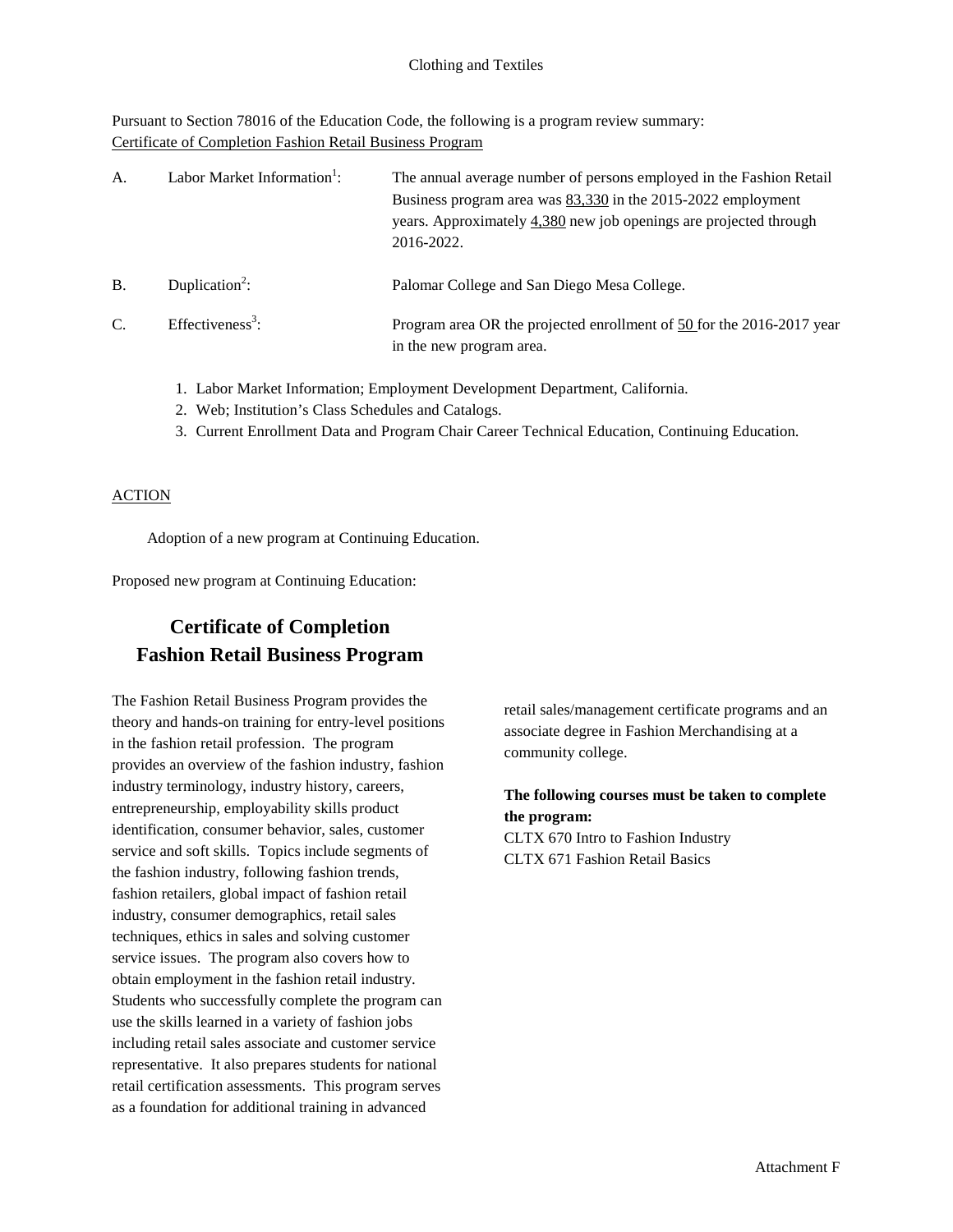Pursuant to Section 78016 of the Education Code, the following is a program review summary: Certificate of Completion Fashion Retail Business Program

| A.        | Labor Market Information <sup>1</sup> : | The annual average number of persons employed in the Fashion Retail<br>Business program area was 83,330 in the 2015-2022 employment<br>years. Approximately 4,380 new job openings are projected through<br>2016-2022. |
|-----------|-----------------------------------------|------------------------------------------------------------------------------------------------------------------------------------------------------------------------------------------------------------------------|
| <b>B.</b> | Duplication <sup>2</sup> :              | Palomar College and San Diego Mesa College.                                                                                                                                                                            |
| C.        | Effectiveness <sup>3</sup> :            | Program area OR the projected enrollment of 50 for the 2016-2017 year<br>in the new program area.                                                                                                                      |

- 1. Labor Market Information; Employment Development Department, California.
- 2. Web; Institution's Class Schedules and Catalogs.
- 3. Current Enrollment Data and Program Chair Career Technical Education, Continuing Education.

## **ACTION**

Adoption of a new program at Continuing Education.

Proposed new program at Continuing Education:

## **Certificate of Completion Fashion Retail Business Program**

The Fashion Retail Business Program provides the theory and hands-on training for entry-level positions in the fashion retail profession. The program provides an overview of the fashion industry, fashion industry terminology, industry history, careers, entrepreneurship, employability skills product identification, consumer behavior, sales, customer service and soft skills. Topics include segments of the fashion industry, following fashion trends, fashion retailers, global impact of fashion retail industry, consumer demographics, retail sales techniques, ethics in sales and solving customer service issues. The program also covers how to obtain employment in the fashion retail industry. Students who successfully complete the program can use the skills learned in a variety of fashion jobs including retail sales associate and customer service representative. It also prepares students for national retail certification assessments. This program serves as a foundation for additional training in advanced

retail sales/management certificate programs and an associate degree in Fashion Merchandising at a community college.

**The following courses must be taken to complete the program:** CLTX 670 Intro to Fashion Industry CLTX 671 Fashion Retail Basics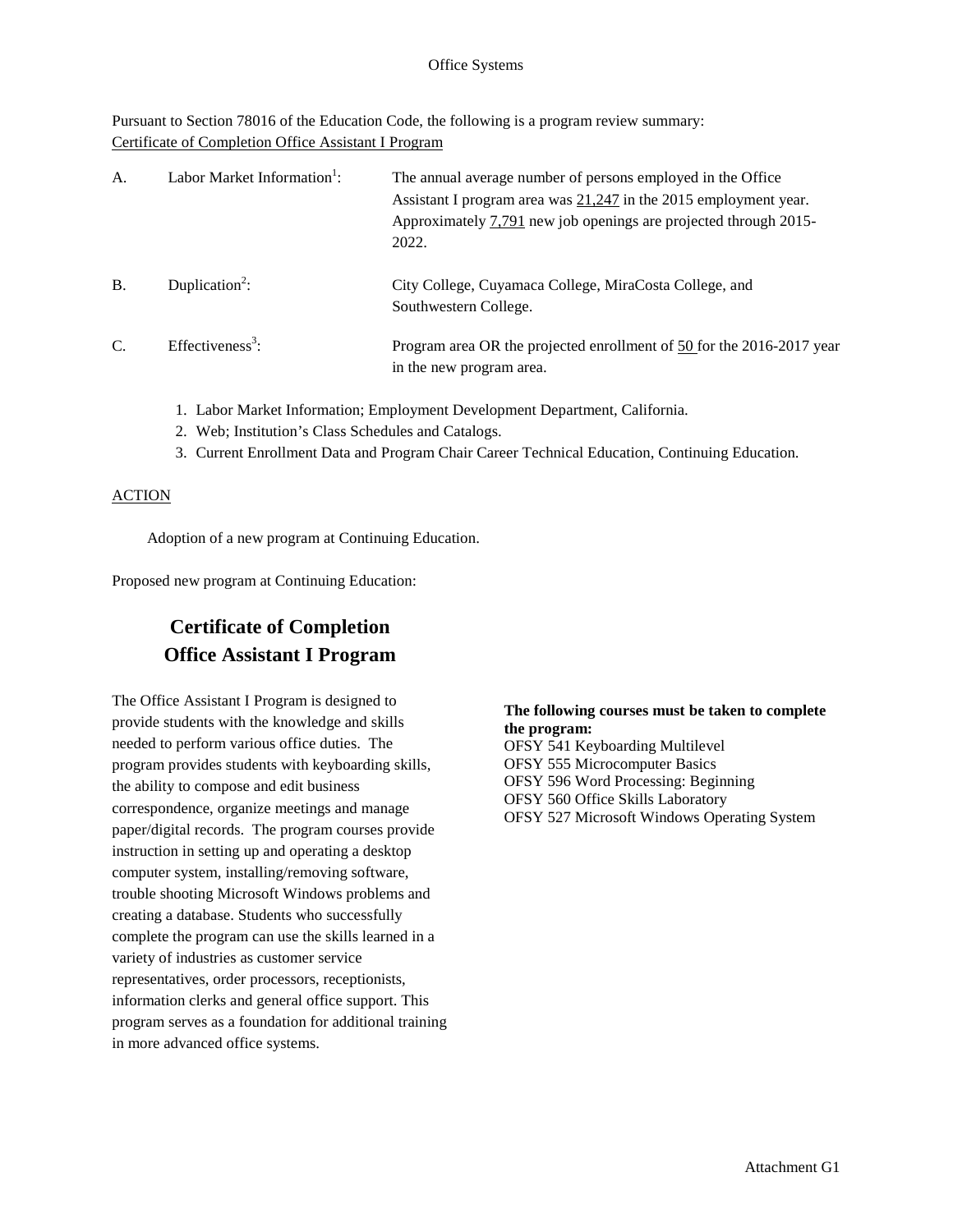Pursuant to Section 78016 of the Education Code, the following is a program review summary: Certificate of Completion Office Assistant I Program

| A.            | Labor Market Information <sup>1</sup> : | The annual average number of persons employed in the Office<br>Assistant I program area was $21,247$ in the 2015 employment year.<br>Approximately 7,791 new job openings are projected through 2015-<br>2022. |
|---------------|-----------------------------------------|----------------------------------------------------------------------------------------------------------------------------------------------------------------------------------------------------------------|
| <b>B.</b>     | Duplication <sup>2</sup> :              | City College, Cuyamaca College, MiraCosta College, and<br>Southwestern College.                                                                                                                                |
| $\mathcal{C}$ | Effectiveness <sup>3</sup> :            | Program area OR the projected enrollment of 50 for the 2016-2017 year<br>in the new program area.                                                                                                              |

- 1. Labor Market Information; Employment Development Department, California.
- 2. Web; Institution's Class Schedules and Catalogs.
- 3. Current Enrollment Data and Program Chair Career Technical Education, Continuing Education.

## **ACTION**

Adoption of a new program at Continuing Education.

Proposed new program at Continuing Education:

## **Certificate of Completion Office Assistant I Program**

The Office Assistant I Program is designed to provide students with the knowledge and skills needed to perform various office duties. The program provides students with keyboarding skills, the ability to compose and edit business correspondence, organize meetings and manage paper/digital records. The program courses provide instruction in setting up and operating a desktop computer system, installing/removing software, trouble shooting Microsoft Windows problems and creating a database. Students who successfully complete the program can use the skills learned in a variety of industries as customer service representatives, order processors, receptionists, information clerks and general office support. This program serves as a foundation for additional training in more advanced office systems.

## **The following courses must be taken to complete the program:**

OFSY 541 Keyboarding Multilevel OFSY 555 Microcomputer Basics OFSY 596 Word Processing: Beginning OFSY 560 Office Skills Laboratory OFSY 527 Microsoft Windows Operating System